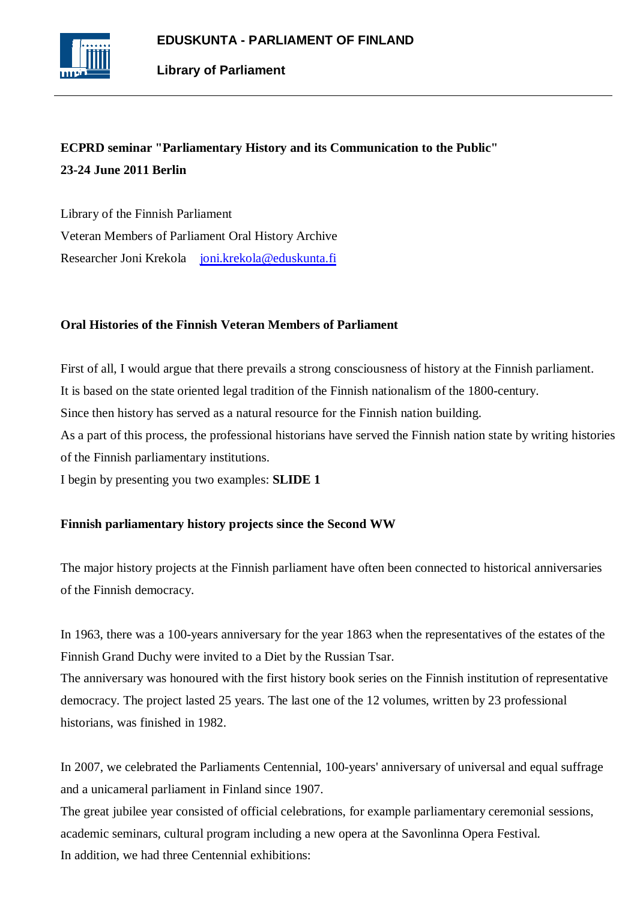

# **ECPRD seminar "Parliamentary History and its Communication to the Public" 23-24 June 2011 Berlin**

Library of the Finnish Parliament Veteran Members of Parliament Oral History Archive Researcher Joni Krekola [joni.krekola@eduskunta.fi](mailto:joni.krekola@eduskunta.fi)

# **Oral Histories of the Finnish Veteran Members of Parliament**

First of all, I would argue that there prevails a strong consciousness of history at the Finnish parliament. It is based on the state oriented legal tradition of the Finnish nationalism of the 1800-century. Since then history has served as a natural resource for the Finnish nation building. As a part of this process, the professional historians have served the Finnish nation state by writing histories of the Finnish parliamentary institutions.

I begin by presenting you two examples: **SLIDE 1**

# **Finnish parliamentary history projects since the Second WW**

The major history projects at the Finnish parliament have often been connected to historical anniversaries of the Finnish democracy.

In 1963, there was a 100-years anniversary for the year 1863 when the representatives of the estates of the Finnish Grand Duchy were invited to a Diet by the Russian Tsar.

The anniversary was honoured with the first history book series on the Finnish institution of representative democracy. The project lasted 25 years. The last one of the 12 volumes, written by 23 professional historians, was finished in 1982.

In 2007, we celebrated the Parliaments Centennial, 100-years' anniversary of universal and equal suffrage and a unicameral parliament in Finland since 1907.

The great jubilee year consisted of official celebrations, for example parliamentary ceremonial sessions, academic seminars, cultural program including a new opera at the Savonlinna Opera Festival. In addition, we had three Centennial exhibitions: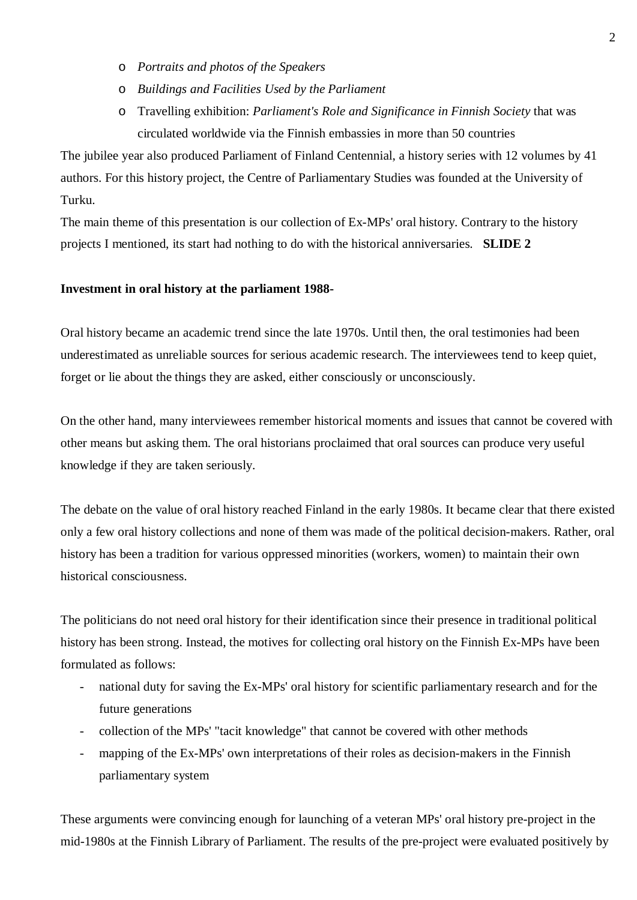- o *Portraits and photos of the Speakers*
- o *Buildings and Facilities Used by the Parliament*
- o Travelling exhibition: *Parliament's Role and Significance in Finnish Society* that was circulated worldwide via the Finnish embassies in more than 50 countries

The jubilee year also produced Parliament of Finland Centennial, a history series with 12 volumes by 41 authors. For this history project, the Centre of Parliamentary Studies was founded at the University of Turku.

The main theme of this presentation is our collection of Ex-MPs' oral history. Contrary to the history projects I mentioned, its start had nothing to do with the historical anniversaries. **SLIDE 2**

#### **Investment in oral history at the parliament 1988-**

Oral history became an academic trend since the late 1970s. Until then, the oral testimonies had been underestimated as unreliable sources for serious academic research. The interviewees tend to keep quiet, forget or lie about the things they are asked, either consciously or unconsciously.

On the other hand, many interviewees remember historical moments and issues that cannot be covered with other means but asking them. The oral historians proclaimed that oral sources can produce very useful knowledge if they are taken seriously.

The debate on the value of oral history reached Finland in the early 1980s. It became clear that there existed only a few oral history collections and none of them was made of the political decision-makers. Rather, oral history has been a tradition for various oppressed minorities (workers, women) to maintain their own historical consciousness.

The politicians do not need oral history for their identification since their presence in traditional political history has been strong. Instead, the motives for collecting oral history on the Finnish Ex-MPs have been formulated as follows:

- national duty for saving the Ex-MPs' oral history for scientific parliamentary research and for the future generations
- collection of the MPs' "tacit knowledge" that cannot be covered with other methods
- mapping of the Ex-MPs' own interpretations of their roles as decision-makers in the Finnish parliamentary system

These arguments were convincing enough for launching of a veteran MPs' oral history pre-project in the mid-1980s at the Finnish Library of Parliament. The results of the pre-project were evaluated positively by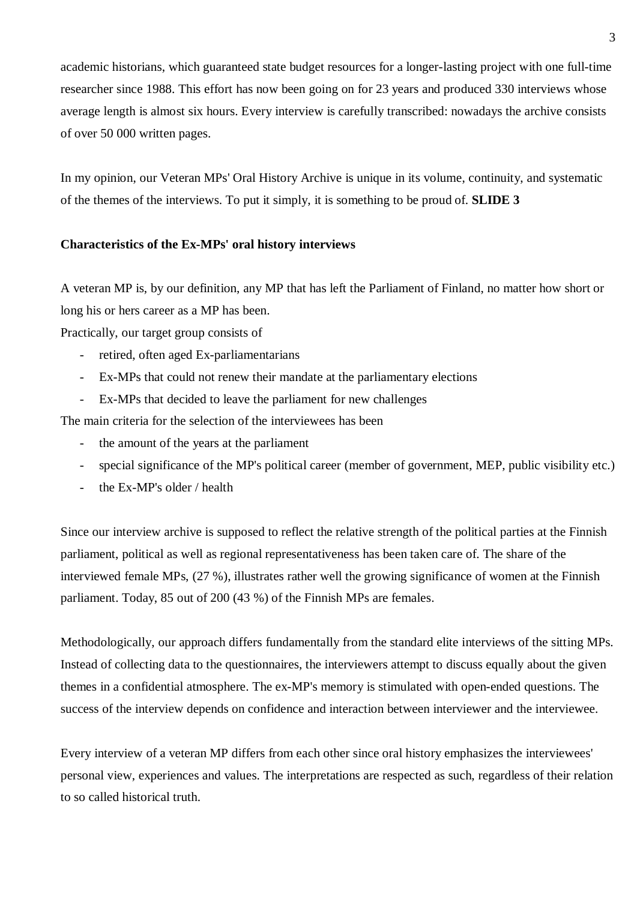academic historians, which guaranteed state budget resources for a longer-lasting project with one full-time researcher since 1988. This effort has now been going on for 23 years and produced 330 interviews whose average length is almost six hours. Every interview is carefully transcribed: nowadays the archive consists of over 50 000 written pages.

In my opinion, our Veteran MPs' Oral History Archive is unique in its volume, continuity, and systematic of the themes of the interviews. To put it simply, it is something to be proud of. **SLIDE 3**

## **Characteristics of the Ex-MPs' oral history interviews**

A veteran MP is, by our definition, any MP that has left the Parliament of Finland, no matter how short or long his or hers career as a MP has been.

Practically, our target group consists of

- retired, often aged Ex-parliamentarians
- Ex-MPs that could not renew their mandate at the parliamentary elections
- Ex-MPs that decided to leave the parliament for new challenges

The main criteria for the selection of the interviewees has been

- the amount of the years at the parliament
- special significance of the MP's political career (member of government, MEP, public visibility etc.)
- the Ex-MP's older / health

Since our interview archive is supposed to reflect the relative strength of the political parties at the Finnish parliament, political as well as regional representativeness has been taken care of. The share of the interviewed female MPs, (27 %), illustrates rather well the growing significance of women at the Finnish parliament. Today, 85 out of 200 (43 %) of the Finnish MPs are females.

Methodologically, our approach differs fundamentally from the standard elite interviews of the sitting MPs. Instead of collecting data to the questionnaires, the interviewers attempt to discuss equally about the given themes in a confidential atmosphere. The ex-MP's memory is stimulated with open-ended questions. The success of the interview depends on confidence and interaction between interviewer and the interviewee.

Every interview of a veteran MP differs from each other since oral history emphasizes the interviewees' personal view, experiences and values. The interpretations are respected as such, regardless of their relation to so called historical truth.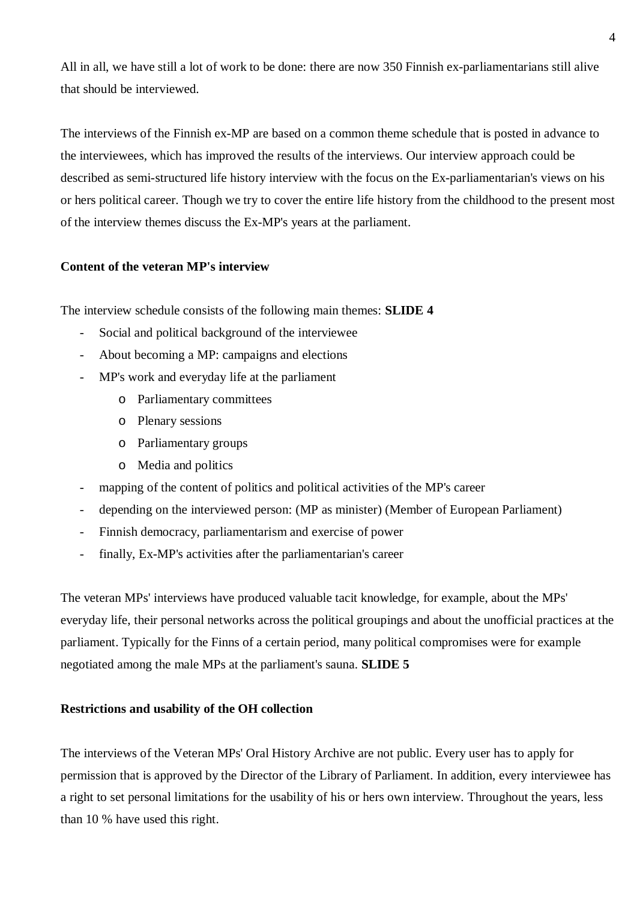All in all, we have still a lot of work to be done: there are now 350 Finnish ex-parliamentarians still alive that should be interviewed.

The interviews of the Finnish ex-MP are based on a common theme schedule that is posted in advance to the interviewees, which has improved the results of the interviews. Our interview approach could be described as semi-structured life history interview with the focus on the Ex-parliamentarian's views on his or hers political career. Though we try to cover the entire life history from the childhood to the present most of the interview themes discuss the Ex-MP's years at the parliament.

## **Content of the veteran MP's interview**

The interview schedule consists of the following main themes: **SLIDE 4**

- Social and political background of the interviewee
- About becoming a MP: campaigns and elections
- MP's work and everyday life at the parliament
	- o Parliamentary committees
	- o Plenary sessions
	- o Parliamentary groups
	- o Media and politics
- mapping of the content of politics and political activities of the MP's career
- depending on the interviewed person: (MP as minister) (Member of European Parliament)
- Finnish democracy, parliamentarism and exercise of power
- finally, Ex-MP's activities after the parliamentarian's career

The veteran MPs' interviews have produced valuable tacit knowledge, for example, about the MPs' everyday life, their personal networks across the political groupings and about the unofficial practices at the parliament. Typically for the Finns of a certain period, many political compromises were for example negotiated among the male MPs at the parliament's sauna. **SLIDE 5**

# **Restrictions and usability of the OH collection**

The interviews of the Veteran MPs' Oral History Archive are not public. Every user has to apply for permission that is approved by the Director of the Library of Parliament. In addition, every interviewee has a right to set personal limitations for the usability of his or hers own interview. Throughout the years, less than 10 % have used this right.